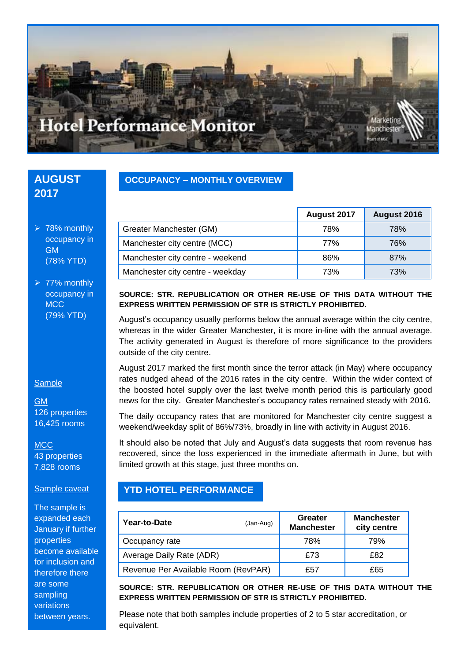

## **AUGUST 2017**

 $> 78%$  monthly occupancy in GM (78% YTD)

 $\geq 77\%$  monthly occupancy in **MCC** (79% YTD)

### **Sample**

GM 126 properties 16,425 rooms

**MCC** 43 properties 7,828 rooms

#### Sample caveat

The sample is expanded each January if further properties become available for inclusion and therefore there are some sampling variations between years.

### **OCCUPANCY – MONTHLY OVERVIEW**

|                                  | August 2017 | August 2016 |
|----------------------------------|-------------|-------------|
| Greater Manchester (GM)          | 78%         | 78%         |
| Manchester city centre (MCC)     | 77%         | 76%         |
| Manchester city centre - weekend | 86%         | 87%         |
| Manchester city centre - weekday | 73%         | 73%         |

### **SOURCE: STR. REPUBLICATION OR OTHER RE-USE OF THIS DATA WITHOUT THE EXPRESS WRITTEN PERMISSION OF STR IS STRICTLY PROHIBITED.**

August's occupancy usually performs below the annual average within the city centre, whereas in the wider Greater Manchester, it is more in-line with the annual average. The activity generated in August is therefore of more significance to the providers outside of the city centre.

August 2017 marked the first month since the terror attack (in May) where occupancy rates nudged ahead of the 2016 rates in the city centre. Within the wider context of the boosted hotel supply over the last twelve month period this is particularly good news for the city. Greater Manchester's occupancy rates remained steady with 2016.

The daily occupancy rates that are monitored for Manchester city centre suggest a weekend/weekday split of 86%/73%, broadly in line with activity in August 2016.

It should also be noted that July and August's data suggests that room revenue has recovered, since the loss experienced in the immediate aftermath in June, but with limited growth at this stage, just three months on.

## **YTD HOTEL PERFORMANCE**

| Year-to-Date<br>(Jan-Aug)           |  | Greater<br><b>Manchester</b> | <b>Manchester</b><br>city centre |
|-------------------------------------|--|------------------------------|----------------------------------|
| Occupancy rate                      |  | 78%                          | 79%                              |
| Average Daily Rate (ADR)            |  | £73                          | £82                              |
| Revenue Per Available Room (RevPAR) |  | £57                          | £65                              |

**SOURCE: STR. REPUBLICATION OR OTHER RE-USE OF THIS DATA WITHOUT THE EXPRESS WRITTEN PERMISSION OF STR IS STRICTLY PROHIBITED.**

Please note that both samples include properties of 2 to 5 star accreditation, or equivalent.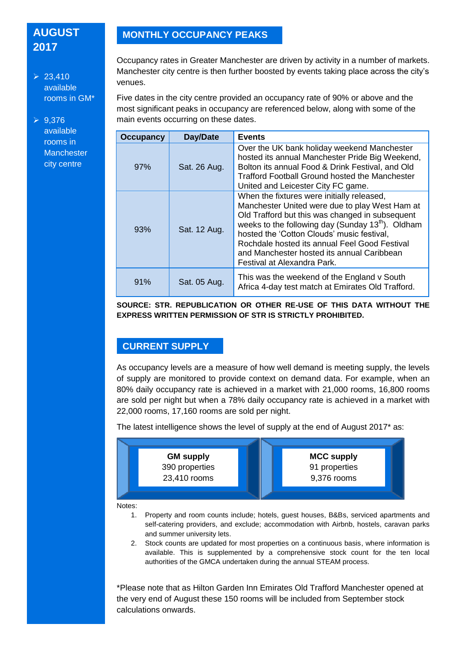# **AUGUST 2017**

 $\geq 23.410$ available rooms in GM\*

 $\geq 9.376$ available rooms in **Manchester** city centre

## **MONTHLY OCCUPANCY PEAKS**

Occupancy rates in Greater Manchester are driven by activity in a number of markets. Manchester city centre is then further boosted by events taking place across the city's venues.

Five dates in the city centre provided an occupancy rate of 90% or above and the most significant peaks in occupancy are referenced below, along with some of the main events occurring on these dates.

| <b>Occupancy</b> | Day/Date     | <b>Events</b>                                                                                                                                                                                                                                                                                                                                                                                |
|------------------|--------------|----------------------------------------------------------------------------------------------------------------------------------------------------------------------------------------------------------------------------------------------------------------------------------------------------------------------------------------------------------------------------------------------|
| 97%              | Sat. 26 Aug. | Over the UK bank holiday weekend Manchester<br>hosted its annual Manchester Pride Big Weekend,<br>Bolton its annual Food & Drink Festival, and Old<br><b>Trafford Football Ground hosted the Manchester</b><br>United and Leicester City FC game.                                                                                                                                            |
| 93%              | Sat. 12 Aug. | When the fixtures were initially released,<br>Manchester United were due to play West Ham at<br>Old Trafford but this was changed in subsequent<br>weeks to the following day (Sunday 13 <sup>th</sup> ). Oldham<br>hosted the 'Cotton Clouds' music festival,<br>Rochdale hosted its annual Feel Good Festival<br>and Manchester hosted its annual Caribbean<br>Festival at Alexandra Park. |
| 91%              | Sat. 05 Aug. | This was the weekend of the England v South<br>Africa 4-day test match at Emirates Old Trafford.                                                                                                                                                                                                                                                                                             |

**SOURCE: STR. REPUBLICATION OR OTHER RE-USE OF THIS DATA WITHOUT THE EXPRESS WRITTEN PERMISSION OF STR IS STRICTLY PROHIBITED.**

## **CURRENT SUPPLY**

As occupancy levels are a measure of how well demand is meeting supply, the levels of supply are monitored to provide context on demand data. For example, when an 80% daily occupancy rate is achieved in a market with 21,000 rooms, 16,800 rooms are sold per night but when a 78% daily occupancy rate is achieved in a market with 22,000 rooms, 17,160 rooms are sold per night.

The latest intelligence shows the level of supply at the end of August 2017\* as:



authorities of the GMCA undertaken during the annual STEAM process.

and summer university lets. 2. Stock counts are updated for most properties on a continuous basis, where information is available. This is supplemented by a comprehensive stock count for the ten local

\*Please note that as Hilton Garden Inn Emirates Old Trafford Manchester opened at the very end of August these 150 rooms will be included from September stock calculations onwards.